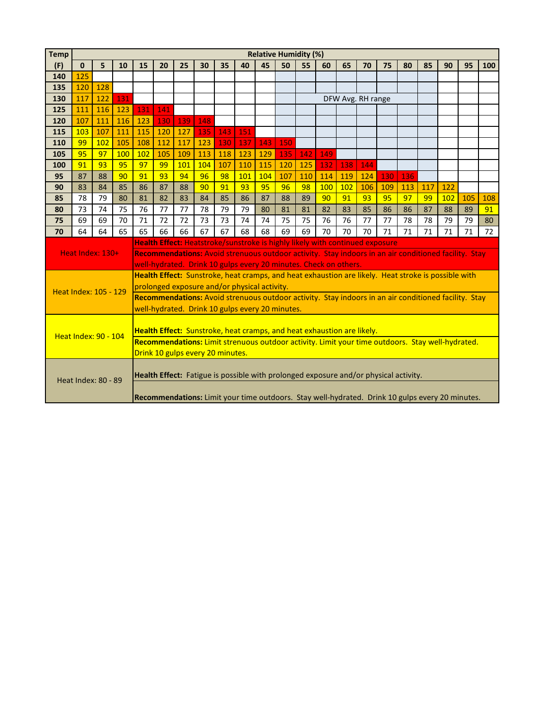| <b>Temp</b>                | <b>Relative Humidity (%)</b> |                                                                                                     |                                                                                                      |                                                                                                                                      |     |     |     |     |                                                                                      |     |     |     |     |     |     |     |     |                                                                                                 |     |     |     |
|----------------------------|------------------------------|-----------------------------------------------------------------------------------------------------|------------------------------------------------------------------------------------------------------|--------------------------------------------------------------------------------------------------------------------------------------|-----|-----|-----|-----|--------------------------------------------------------------------------------------|-----|-----|-----|-----|-----|-----|-----|-----|-------------------------------------------------------------------------------------------------|-----|-----|-----|
| (F)                        | $\mathbf 0$                  | 5                                                                                                   | 10                                                                                                   | 15                                                                                                                                   | 20  | 25  | 30  | 35  | 40                                                                                   | 45  | 50  | 55  | 60  | 65  | 70  | 75  | 80  | 85                                                                                              | 90  | 95  | 100 |
| 140                        | 125                          |                                                                                                     |                                                                                                      |                                                                                                                                      |     |     |     |     |                                                                                      |     |     |     |     |     |     |     |     |                                                                                                 |     |     |     |
| 135                        | 120                          | 128                                                                                                 |                                                                                                      |                                                                                                                                      |     |     |     |     |                                                                                      |     |     |     |     |     |     |     |     |                                                                                                 |     |     |     |
| 130                        | 117                          | 122                                                                                                 | 131                                                                                                  | DFW Avg. RH range                                                                                                                    |     |     |     |     |                                                                                      |     |     |     |     |     |     |     |     |                                                                                                 |     |     |     |
| 125                        | 111                          | 116                                                                                                 | 123                                                                                                  | 131                                                                                                                                  | 141 |     |     |     |                                                                                      |     |     |     |     |     |     |     |     |                                                                                                 |     |     |     |
| 120                        | 107                          | 111                                                                                                 | 116                                                                                                  | 123                                                                                                                                  | 130 | 139 | 148 |     |                                                                                      |     |     |     |     |     |     |     |     |                                                                                                 |     |     |     |
| 115                        | 103                          | 107                                                                                                 | 111                                                                                                  | 115                                                                                                                                  | 120 | 127 | 135 | 143 | 151                                                                                  |     |     |     |     |     |     |     |     |                                                                                                 |     |     |     |
| 110                        | 99                           | 102                                                                                                 | 105                                                                                                  | 108                                                                                                                                  | 112 | 117 | 123 | 130 | 137                                                                                  | 143 | 150 |     |     |     |     |     |     |                                                                                                 |     |     |     |
| 105                        | 95                           | 97                                                                                                  | 100                                                                                                  | 102                                                                                                                                  | 105 | 109 | 113 | 118 | 123                                                                                  | 129 | 135 | 142 | 149 |     |     |     |     |                                                                                                 |     |     |     |
| 100                        | 91                           | 93                                                                                                  | 95                                                                                                   | 97                                                                                                                                   | 99  | 101 | 104 | 107 | 110                                                                                  | 115 | 120 | 125 | 132 | 138 | 144 |     |     |                                                                                                 |     |     |     |
| 95                         | 87                           | 88                                                                                                  | 90                                                                                                   | 91                                                                                                                                   | 93  | 94  | 96  | 98  | 101                                                                                  | 104 | 107 | 110 | 114 | 119 | 124 | 130 | 136 |                                                                                                 |     |     |     |
| 90                         | 83                           | 84                                                                                                  | 85                                                                                                   | 86                                                                                                                                   | 87  | 88  | 90  | 91  | 93                                                                                   | 95  | 96  | 98  | 100 | 102 | 106 | 109 | 113 | 117                                                                                             | 122 |     |     |
| 85                         | 78                           | 79                                                                                                  | 80                                                                                                   | 81                                                                                                                                   | 82  | 83  | 84  | 85  | 86                                                                                   | 87  | 88  | 89  | 90  | 91  | 93  | 95  | 97  | 99                                                                                              | 102 | 105 | 108 |
| 80                         | 73                           | 74                                                                                                  | 75                                                                                                   | 76                                                                                                                                   | 77  | 77  | 78  | 79  | 79                                                                                   | 80  | 81  | 81  | 82  | 83  | 85  | 86  | 86  | 87                                                                                              | 88  | 89  | 91  |
| 75                         | 69                           | 69                                                                                                  | 70                                                                                                   | 71                                                                                                                                   | 72  | 72  | 73  | 73  | 74                                                                                   | 74  | 75  | 75  | 76  | 76  | 77  | 77  | 78  | 78                                                                                              | 79  | 79  | 80  |
| 70                         | 64                           | 64                                                                                                  | 65                                                                                                   | 65                                                                                                                                   | 66  | 66  | 67  | 67  | 68                                                                                   | 68  | 69  | 69  | 70  | 70  | 70  | 71  | 71  | 71                                                                                              | 71  | 71  | 72  |
|                            |                              |                                                                                                     |                                                                                                      | Health Effect: Heatstroke/sunstroke is highly likely with continued exposure                                                         |     |     |     |     |                                                                                      |     |     |     |     |     |     |     |     |                                                                                                 |     |     |     |
|                            | Heat Index: 130+             |                                                                                                     | Recommendations: Avoid strenuous outdoor activity. Stay indoors in an air conditioned facility. Stay |                                                                                                                                      |     |     |     |     |                                                                                      |     |     |     |     |     |     |     |     |                                                                                                 |     |     |     |
|                            |                              |                                                                                                     |                                                                                                      | well-hydrated. Drink 10 gulps every 20 minutes. Check on others.                                                                     |     |     |     |     |                                                                                      |     |     |     |     |     |     |     |     |                                                                                                 |     |     |     |
|                            |                              | Health Effect: Sunstroke, heat cramps, and heat exhaustion are likely. Heat stroke is possible with |                                                                                                      |                                                                                                                                      |     |     |     |     |                                                                                      |     |     |     |     |     |     |     |     |                                                                                                 |     |     |     |
|                            |                              | Heat Index: 105 - 129                                                                               |                                                                                                      | prolonged exposure and/or physical activity.                                                                                         |     |     |     |     |                                                                                      |     |     |     |     |     |     |     |     |                                                                                                 |     |     |     |
|                            |                              |                                                                                                     | Recommendations: Avoid strenuous outdoor activity. Stay indoors in an air conditioned facility. Stay |                                                                                                                                      |     |     |     |     |                                                                                      |     |     |     |     |     |     |     |     |                                                                                                 |     |     |     |
|                            |                              |                                                                                                     |                                                                                                      | well-hydrated. Drink 10 gulps every 20 minutes.                                                                                      |     |     |     |     |                                                                                      |     |     |     |     |     |     |     |     |                                                                                                 |     |     |     |
|                            |                              |                                                                                                     |                                                                                                      |                                                                                                                                      |     |     |     |     |                                                                                      |     |     |     |     |     |     |     |     |                                                                                                 |     |     |     |
|                            | <b>Heat Index: 90 - 104</b>  |                                                                                                     | Health Effect: Sunstroke, heat cramps, and heat exhaustion are likely.                               |                                                                                                                                      |     |     |     |     |                                                                                      |     |     |     |     |     |     |     |     |                                                                                                 |     |     |     |
|                            |                              |                                                                                                     |                                                                                                      | Recommendations: Limit strenuous outdoor activity. Limit your time outdoors. Stay well-hydrated.<br>Drink 10 gulps every 20 minutes. |     |     |     |     |                                                                                      |     |     |     |     |     |     |     |     |                                                                                                 |     |     |     |
|                            |                              |                                                                                                     |                                                                                                      |                                                                                                                                      |     |     |     |     |                                                                                      |     |     |     |     |     |     |     |     |                                                                                                 |     |     |     |
|                            |                              |                                                                                                     |                                                                                                      |                                                                                                                                      |     |     |     |     |                                                                                      |     |     |     |     |     |     |     |     |                                                                                                 |     |     |     |
| <b>Heat Index: 80 - 89</b> |                              |                                                                                                     |                                                                                                      |                                                                                                                                      |     |     |     |     | Health Effect: Fatigue is possible with prolonged exposure and/or physical activity. |     |     |     |     |     |     |     |     |                                                                                                 |     |     |     |
|                            |                              |                                                                                                     |                                                                                                      |                                                                                                                                      |     |     |     |     |                                                                                      |     |     |     |     |     |     |     |     |                                                                                                 |     |     |     |
|                            |                              |                                                                                                     |                                                                                                      |                                                                                                                                      |     |     |     |     |                                                                                      |     |     |     |     |     |     |     |     | Recommendations: Limit your time outdoors. Stay well-hydrated. Drink 10 gulps every 20 minutes. |     |     |     |